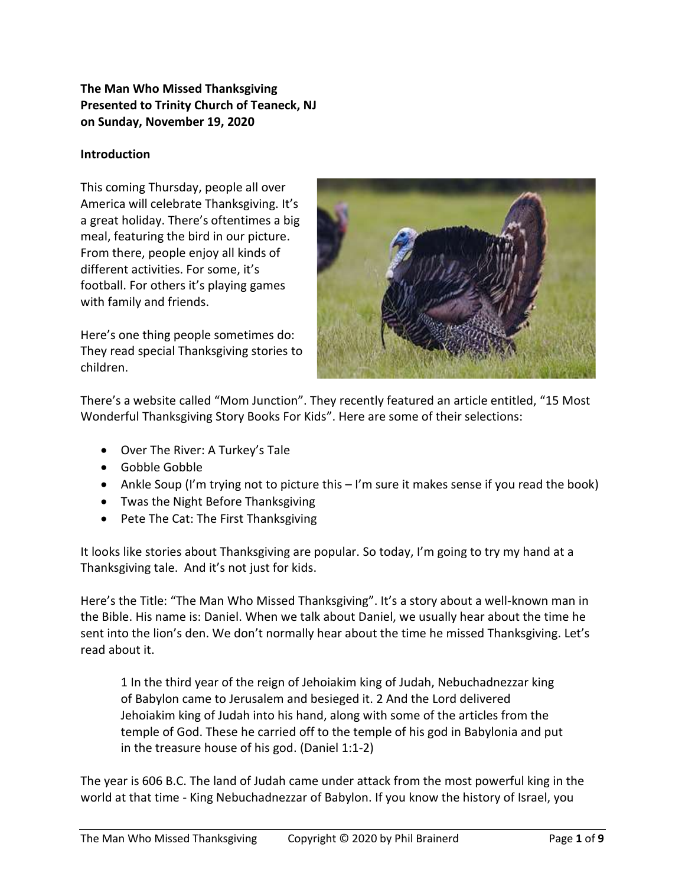## **The Man Who Missed Thanksgiving Presented to Trinity Church of Teaneck, NJ on Sunday, November 19, 2020**

## **Introduction**

This coming Thursday, people all over America will celebrate Thanksgiving. It's a great holiday. There's oftentimes a big meal, featuring the bird in our picture. From there, people enjoy all kinds of different activities. For some, it's football. For others it's playing games with family and friends.

Here's one thing people sometimes do: They read special Thanksgiving stories to children.



There's a website called "Mom Junction". They recently featured an article entitled, "15 Most Wonderful Thanksgiving Story Books For Kids". Here are some of their selections:

- Over The River: A Turkey's Tale
- Gobble Gobble
- Ankle Soup (I'm trying not to picture this I'm sure it makes sense if you read the book)
- Twas the Night Before Thanksgiving
- Pete The Cat: The First Thanksgiving

It looks like stories about Thanksgiving are popular. So today, I'm going to try my hand at a Thanksgiving tale. And it's not just for kids.

Here's the Title: "The Man Who Missed Thanksgiving". It's a story about a well-known man in the Bible. His name is: Daniel. When we talk about Daniel, we usually hear about the time he sent into the lion's den. We don't normally hear about the time he missed Thanksgiving. Let's read about it.

1 In the third year of the reign of Jehoiakim king of Judah, Nebuchadnezzar king of Babylon came to Jerusalem and besieged it. 2 And the Lord delivered Jehoiakim king of Judah into his hand, along with some of the articles from the temple of God. These he carried off to the temple of his god in Babylonia and put in the treasure house of his god. (Daniel 1:1-2)

The year is 606 B.C. The land of Judah came under attack from the most powerful king in the world at that time - King Nebuchadnezzar of Babylon. If you know the history of Israel, you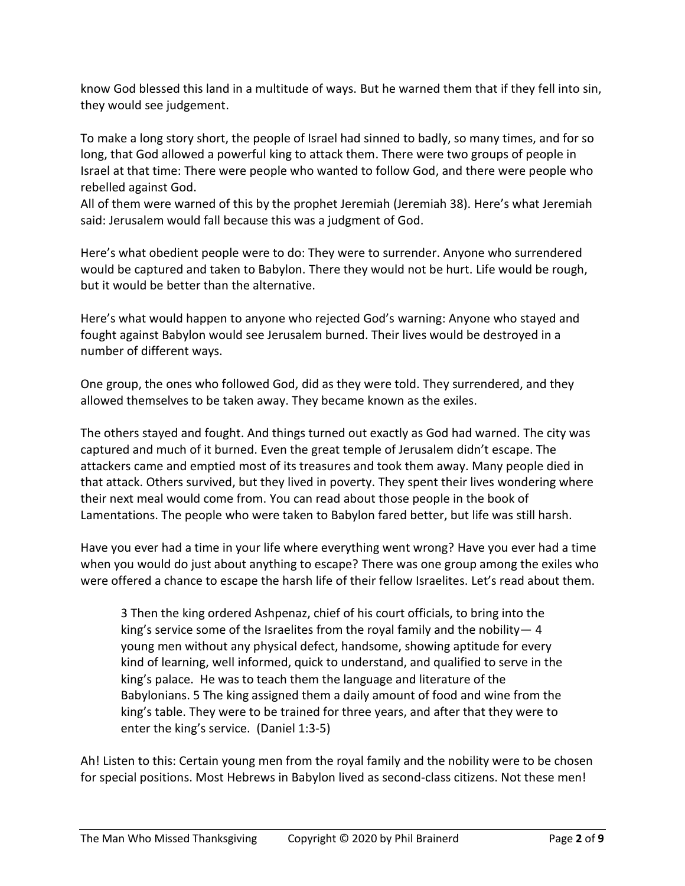know God blessed this land in a multitude of ways. But he warned them that if they fell into sin, they would see judgement.

To make a long story short, the people of Israel had sinned to badly, so many times, and for so long, that God allowed a powerful king to attack them. There were two groups of people in Israel at that time: There were people who wanted to follow God, and there were people who rebelled against God.

All of them were warned of this by the prophet Jeremiah (Jeremiah 38). Here's what Jeremiah said: Jerusalem would fall because this was a judgment of God.

Here's what obedient people were to do: They were to surrender. Anyone who surrendered would be captured and taken to Babylon. There they would not be hurt. Life would be rough, but it would be better than the alternative.

Here's what would happen to anyone who rejected God's warning: Anyone who stayed and fought against Babylon would see Jerusalem burned. Their lives would be destroyed in a number of different ways.

One group, the ones who followed God, did as they were told. They surrendered, and they allowed themselves to be taken away. They became known as the exiles.

The others stayed and fought. And things turned out exactly as God had warned. The city was captured and much of it burned. Even the great temple of Jerusalem didn't escape. The attackers came and emptied most of its treasures and took them away. Many people died in that attack. Others survived, but they lived in poverty. They spent their lives wondering where their next meal would come from. You can read about those people in the book of Lamentations. The people who were taken to Babylon fared better, but life was still harsh.

Have you ever had a time in your life where everything went wrong? Have you ever had a time when you would do just about anything to escape? There was one group among the exiles who were offered a chance to escape the harsh life of their fellow Israelites. Let's read about them.

3 Then the king ordered Ashpenaz, chief of his court officials, to bring into the king's service some of the Israelites from the royal family and the nobility— 4 young men without any physical defect, handsome, showing aptitude for every kind of learning, well informed, quick to understand, and qualified to serve in the king's palace. He was to teach them the language and literature of the Babylonians. 5 The king assigned them a daily amount of food and wine from the king's table. They were to be trained for three years, and after that they were to enter the king's service. (Daniel 1:3-5)

Ah! Listen to this: Certain young men from the royal family and the nobility were to be chosen for special positions. Most Hebrews in Babylon lived as second-class citizens. Not these men!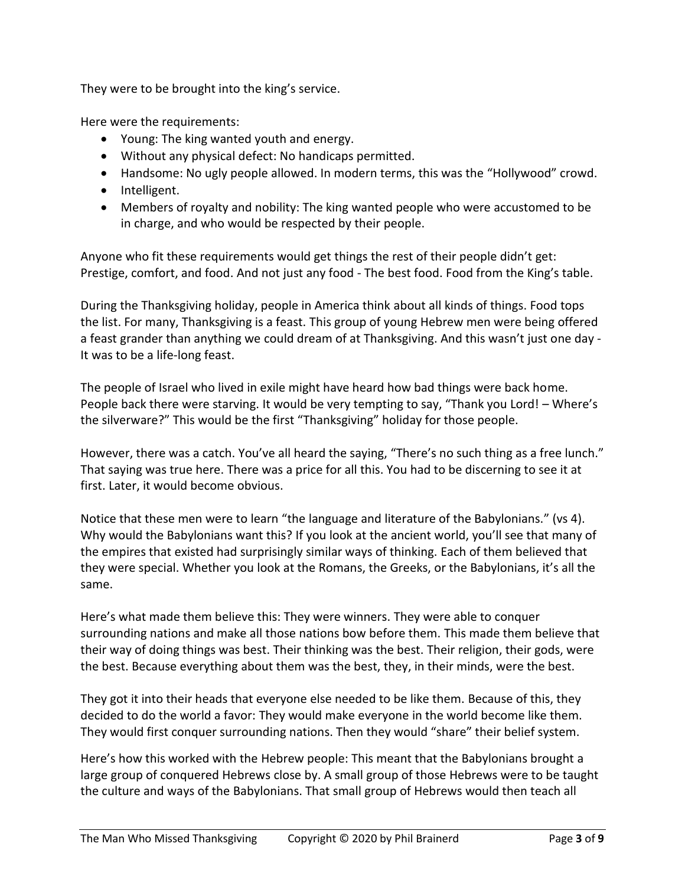They were to be brought into the king's service.

Here were the requirements:

- Young: The king wanted youth and energy.
- Without any physical defect: No handicaps permitted.
- Handsome: No ugly people allowed. In modern terms, this was the "Hollywood" crowd.
- Intelligent.
- Members of royalty and nobility: The king wanted people who were accustomed to be in charge, and who would be respected by their people.

Anyone who fit these requirements would get things the rest of their people didn't get: Prestige, comfort, and food. And not just any food - The best food. Food from the King's table.

During the Thanksgiving holiday, people in America think about all kinds of things. Food tops the list. For many, Thanksgiving is a feast. This group of young Hebrew men were being offered a feast grander than anything we could dream of at Thanksgiving. And this wasn't just one day - It was to be a life-long feast.

The people of Israel who lived in exile might have heard how bad things were back home. People back there were starving. It would be very tempting to say, "Thank you Lord! – Where's the silverware?" This would be the first "Thanksgiving" holiday for those people.

However, there was a catch. You've all heard the saying, "There's no such thing as a free lunch." That saying was true here. There was a price for all this. You had to be discerning to see it at first. Later, it would become obvious.

Notice that these men were to learn "the language and literature of the Babylonians." (vs 4). Why would the Babylonians want this? If you look at the ancient world, you'll see that many of the empires that existed had surprisingly similar ways of thinking. Each of them believed that they were special. Whether you look at the Romans, the Greeks, or the Babylonians, it's all the same.

Here's what made them believe this: They were winners. They were able to conquer surrounding nations and make all those nations bow before them. This made them believe that their way of doing things was best. Their thinking was the best. Their religion, their gods, were the best. Because everything about them was the best, they, in their minds, were the best.

They got it into their heads that everyone else needed to be like them. Because of this, they decided to do the world a favor: They would make everyone in the world become like them. They would first conquer surrounding nations. Then they would "share" their belief system.

Here's how this worked with the Hebrew people: This meant that the Babylonians brought a large group of conquered Hebrews close by. A small group of those Hebrews were to be taught the culture and ways of the Babylonians. That small group of Hebrews would then teach all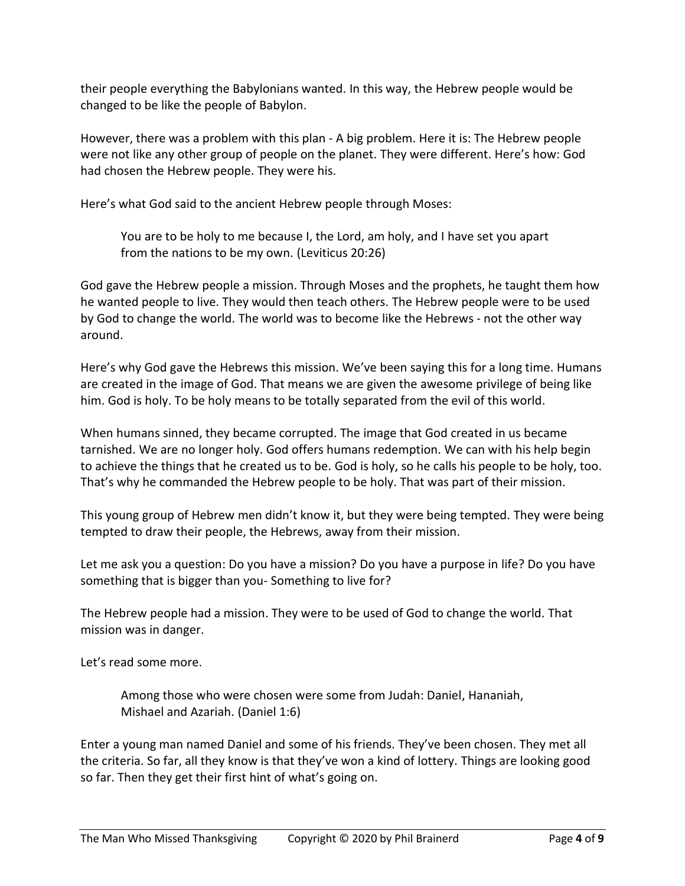their people everything the Babylonians wanted. In this way, the Hebrew people would be changed to be like the people of Babylon.

However, there was a problem with this plan - A big problem. Here it is: The Hebrew people were not like any other group of people on the planet. They were different. Here's how: God had chosen the Hebrew people. They were his.

Here's what God said to the ancient Hebrew people through Moses:

You are to be holy to me because I, the Lord, am holy, and I have set you apart from the nations to be my own. (Leviticus 20:26)

God gave the Hebrew people a mission. Through Moses and the prophets, he taught them how he wanted people to live. They would then teach others. The Hebrew people were to be used by God to change the world. The world was to become like the Hebrews - not the other way around.

Here's why God gave the Hebrews this mission. We've been saying this for a long time. Humans are created in the image of God. That means we are given the awesome privilege of being like him. God is holy. To be holy means to be totally separated from the evil of this world.

When humans sinned, they became corrupted. The image that God created in us became tarnished. We are no longer holy. God offers humans redemption. We can with his help begin to achieve the things that he created us to be. God is holy, so he calls his people to be holy, too. That's why he commanded the Hebrew people to be holy. That was part of their mission.

This young group of Hebrew men didn't know it, but they were being tempted. They were being tempted to draw their people, the Hebrews, away from their mission.

Let me ask you a question: Do you have a mission? Do you have a purpose in life? Do you have something that is bigger than you- Something to live for?

The Hebrew people had a mission. They were to be used of God to change the world. That mission was in danger.

Let's read some more.

Among those who were chosen were some from Judah: Daniel, Hananiah, Mishael and Azariah. (Daniel 1:6)

Enter a young man named Daniel and some of his friends. They've been chosen. They met all the criteria. So far, all they know is that they've won a kind of lottery. Things are looking good so far. Then they get their first hint of what's going on.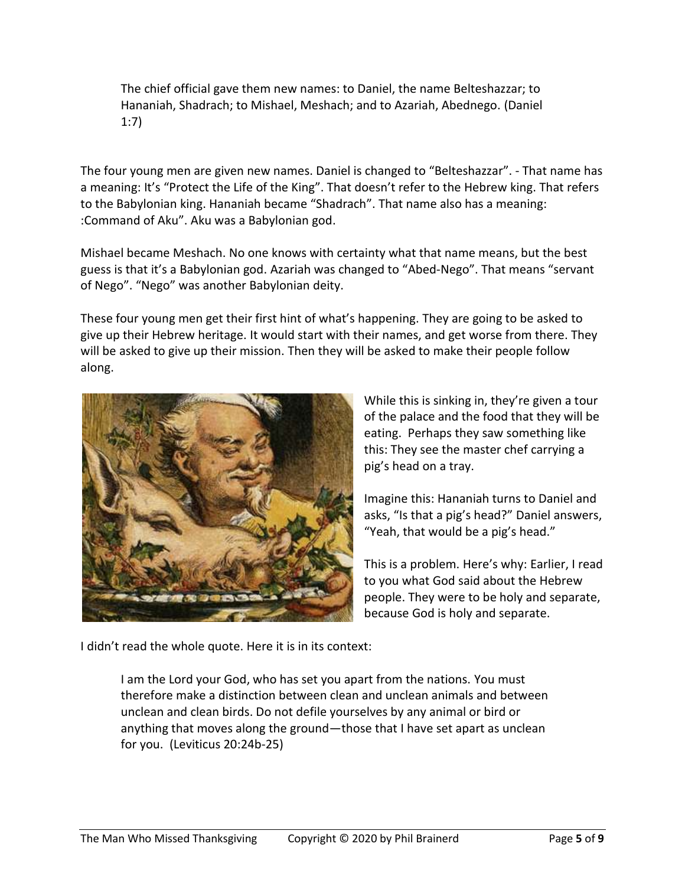The chief official gave them new names: to Daniel, the name Belteshazzar; to Hananiah, Shadrach; to Mishael, Meshach; and to Azariah, Abednego. (Daniel 1:7)

The four young men are given new names. Daniel is changed to "Belteshazzar". - That name has a meaning: It's "Protect the Life of the King". That doesn't refer to the Hebrew king. That refers to the Babylonian king. Hananiah became "Shadrach". That name also has a meaning: :Command of Aku". Aku was a Babylonian god.

Mishael became Meshach. No one knows with certainty what that name means, but the best guess is that it's a Babylonian god. Azariah was changed to "Abed-Nego". That means "servant of Nego". "Nego" was another Babylonian deity.

These four young men get their first hint of what's happening. They are going to be asked to give up their Hebrew heritage. It would start with their names, and get worse from there. They will be asked to give up their mission. Then they will be asked to make their people follow along.



While this is sinking in, they're given a tour of the palace and the food that they will be eating. Perhaps they saw something like this: They see the master chef carrying a pig's head on a tray.

Imagine this: Hananiah turns to Daniel and asks, "Is that a pig's head?" Daniel answers, "Yeah, that would be a pig's head."

This is a problem. Here's why: Earlier, I read to you what God said about the Hebrew people. They were to be holy and separate, because God is holy and separate.

I didn't read the whole quote. Here it is in its context:

I am the Lord your God, who has set you apart from the nations. You must therefore make a distinction between clean and unclean animals and between unclean and clean birds. Do not defile yourselves by any animal or bird or anything that moves along the ground—those that I have set apart as unclean for you. (Leviticus 20:24b-25)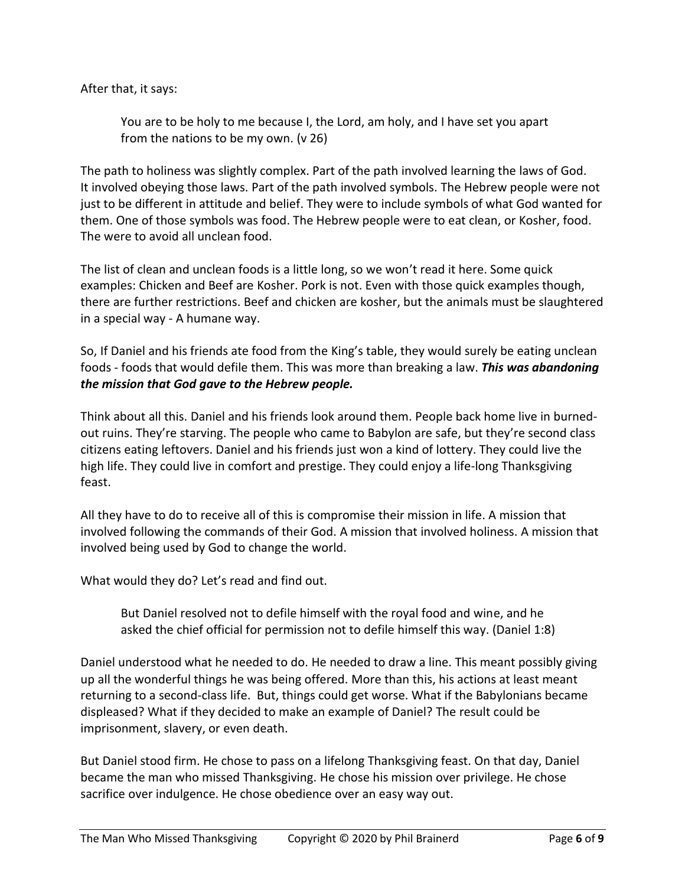After that, it says:

You are to be holy to me because I, the Lord, am holy, and I have set you apart from the nations to be my own. (v 26)

The path to holiness was slightly complex. Part of the path involved learning the laws of God. It involved obeying those laws. Part of the path involved symbols. The Hebrew people were not just to be different in attitude and belief. They were to include symbols of what God wanted for them. One of those symbols was food. The Hebrew people were to eat clean, or Kosher, food. The were to avoid all unclean food.

The list of clean and unclean foods is a little long, so we won't read it here. Some quick examples: Chicken and Beef are Kosher. Pork is not. Even with those quick examples though, there are further restrictions. Beef and chicken are kosher, but the animals must be slaughtered in a special way - A humane way.

So, If Daniel and his friends ate food from the King's table, they would surely be eating unclean foods - foods that would defile them. This was more than breaking a law. *This was abandoning the mission that God gave to the Hebrew people.*

Think about all this. Daniel and his friends look around them. People back home live in burnedout ruins. They're starving. The people who came to Babylon are safe, but they're second class citizens eating leftovers. Daniel and his friends just won a kind of lottery. They could live the high life. They could live in comfort and prestige. They could enjoy a life-long Thanksgiving feast.

All they have to do to receive all of this is compromise their mission in life. A mission that involved following the commands of their God. A mission that involved holiness. A mission that involved being used by God to change the world.

What would they do? Let's read and find out.

But Daniel resolved not to defile himself with the royal food and wine, and he asked the chief official for permission not to defile himself this way. (Daniel 1:8)

Daniel understood what he needed to do. He needed to draw a line. This meant possibly giving up all the wonderful things he was being offered. More than this, his actions at least meant returning to a second-class life. But, things could get worse. What if the Babylonians became displeased? What if they decided to make an example of Daniel? The result could be imprisonment, slavery, or even death.

But Daniel stood firm. He chose to pass on a lifelong Thanksgiving feast. On that day, Daniel became the man who missed Thanksgiving. He chose his mission over privilege. He chose sacrifice over indulgence. He chose obedience over an easy way out.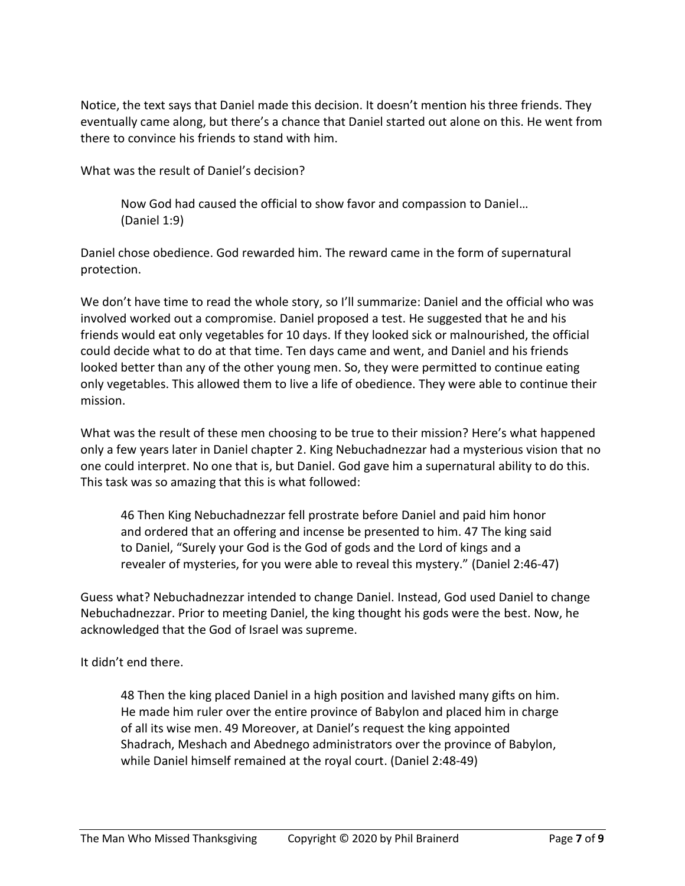Notice, the text says that Daniel made this decision. It doesn't mention his three friends. They eventually came along, but there's a chance that Daniel started out alone on this. He went from there to convince his friends to stand with him.

What was the result of Daniel's decision?

Now God had caused the official to show favor and compassion to Daniel… (Daniel 1:9)

Daniel chose obedience. God rewarded him. The reward came in the form of supernatural protection.

We don't have time to read the whole story, so I'll summarize: Daniel and the official who was involved worked out a compromise. Daniel proposed a test. He suggested that he and his friends would eat only vegetables for 10 days. If they looked sick or malnourished, the official could decide what to do at that time. Ten days came and went, and Daniel and his friends looked better than any of the other young men. So, they were permitted to continue eating only vegetables. This allowed them to live a life of obedience. They were able to continue their mission.

What was the result of these men choosing to be true to their mission? Here's what happened only a few years later in Daniel chapter 2. King Nebuchadnezzar had a mysterious vision that no one could interpret. No one that is, but Daniel. God gave him a supernatural ability to do this. This task was so amazing that this is what followed:

46 Then King Nebuchadnezzar fell prostrate before Daniel and paid him honor and ordered that an offering and incense be presented to him. 47 The king said to Daniel, "Surely your God is the God of gods and the Lord of kings and a revealer of mysteries, for you were able to reveal this mystery." (Daniel 2:46-47)

Guess what? Nebuchadnezzar intended to change Daniel. Instead, God used Daniel to change Nebuchadnezzar. Prior to meeting Daniel, the king thought his gods were the best. Now, he acknowledged that the God of Israel was supreme.

It didn't end there.

48 Then the king placed Daniel in a high position and lavished many gifts on him. He made him ruler over the entire province of Babylon and placed him in charge of all its wise men. 49 Moreover, at Daniel's request the king appointed Shadrach, Meshach and Abednego administrators over the province of Babylon, while Daniel himself remained at the royal court. (Daniel 2:48-49)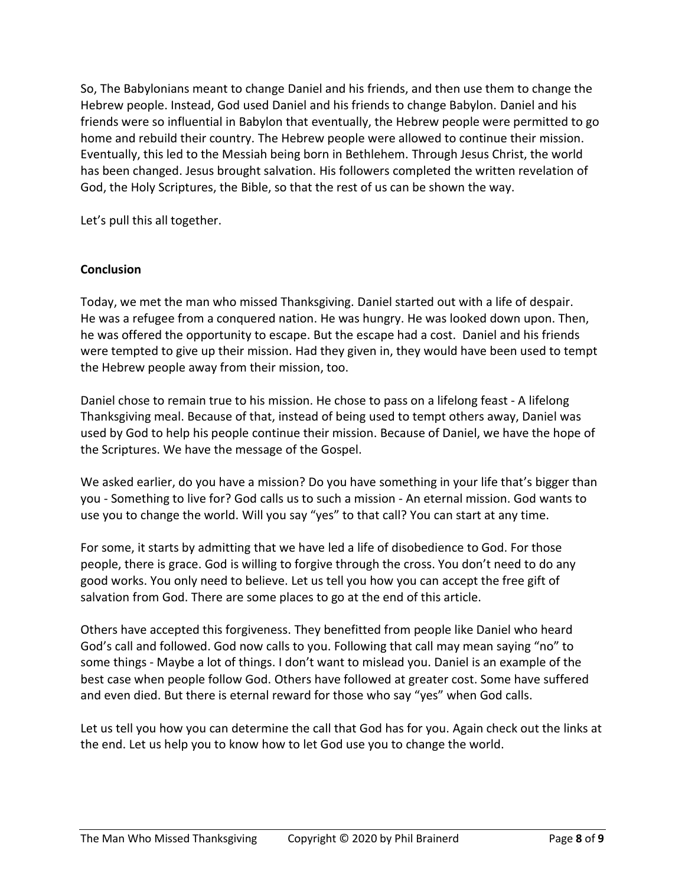So, The Babylonians meant to change Daniel and his friends, and then use them to change the Hebrew people. Instead, God used Daniel and his friends to change Babylon. Daniel and his friends were so influential in Babylon that eventually, the Hebrew people were permitted to go home and rebuild their country. The Hebrew people were allowed to continue their mission. Eventually, this led to the Messiah being born in Bethlehem. Through Jesus Christ, the world has been changed. Jesus brought salvation. His followers completed the written revelation of God, the Holy Scriptures, the Bible, so that the rest of us can be shown the way.

Let's pull this all together.

## **Conclusion**

Today, we met the man who missed Thanksgiving. Daniel started out with a life of despair. He was a refugee from a conquered nation. He was hungry. He was looked down upon. Then, he was offered the opportunity to escape. But the escape had a cost. Daniel and his friends were tempted to give up their mission. Had they given in, they would have been used to tempt the Hebrew people away from their mission, too.

Daniel chose to remain true to his mission. He chose to pass on a lifelong feast - A lifelong Thanksgiving meal. Because of that, instead of being used to tempt others away, Daniel was used by God to help his people continue their mission. Because of Daniel, we have the hope of the Scriptures. We have the message of the Gospel.

We asked earlier, do you have a mission? Do you have something in your life that's bigger than you - Something to live for? God calls us to such a mission - An eternal mission. God wants to use you to change the world. Will you say "yes" to that call? You can start at any time.

For some, it starts by admitting that we have led a life of disobedience to God. For those people, there is grace. God is willing to forgive through the cross. You don't need to do any good works. You only need to believe. Let us tell you how you can accept the free gift of salvation from God. There are some places to go at the end of this article.

Others have accepted this forgiveness. They benefitted from people like Daniel who heard God's call and followed. God now calls to you. Following that call may mean saying "no" to some things - Maybe a lot of things. I don't want to mislead you. Daniel is an example of the best case when people follow God. Others have followed at greater cost. Some have suffered and even died. But there is eternal reward for those who say "yes" when God calls.

Let us tell you how you can determine the call that God has for you. Again check out the links at the end. Let us help you to know how to let God use you to change the world.